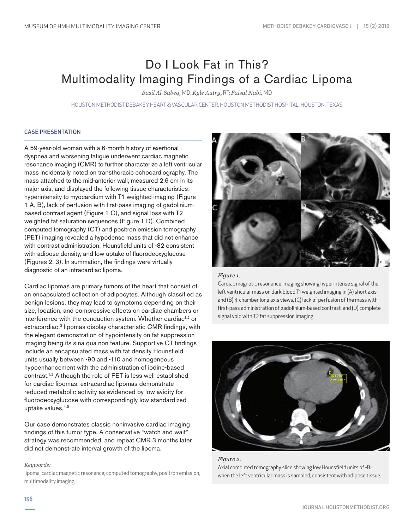# Do I Look Fat in This? Multimodality Imaging Findings of a Cardiac Lipoma

*Basil Al-Sabeq,* MD; *Kyle Autry,* RT; *Faisal Nabi,* MD

HOUSTON METHODIST DEBAKEY HEART & VASCULAR CENTER, HOUSTON METHODIST HOSPITAL, HOUSTON, TEXAS

## CASE PRESENTATION

A 59-year-old woman with a 6-month history of exertional dyspnea and worsening fatigue underwent cardiac magnetic resonance imaging (CMR) to further characterize a left ventricular mass incidentally noted on transthoracic echocardiography. The mass attached to the mid-anterior wall, measured 2.6 cm in its major axis, and displayed the following tissue characteristics: hyperintensity to myocardium with T1 weighted imaging (Figure 1 A, B), lack of perfusion with first-pass imaging of gadoliniumbased contrast agent (Figure 1 C), and signal loss with T2 weighted fat saturation sequences (Figure 1 D). Combined computed tomography (CT) and positron emission tomography (PET) imaging revealed a hypodense mass that did not enhance with contrast administration, Hounsfield units of -82 consistent with adipose density, and low uptake of fluorodeoxyglucose (Figures 2, 3). In summation, the findings were virtually diagnostic of an intracardiac lipoma.

Cardiac lipomas are primary tumors of the heart that consist of an encapsulated collection of adipocytes. Although classified as benign lesions, they may lead to symptoms depending on their size, location, and compressive effects on cardiac chambers or interference with the conduction system. Whether cardiac<sup>1,2</sup> or extracardiac,<sup>3</sup> lipomas display characteristic CMR findings, with the elegant demonstration of hypointensity on fat suppression imaging being its sina qua non feature. Supportive CT findings include an encapsulated mass with fat density Hounsfield units usually between -90 and -110 and homogeneous hypoenhancement with the administration of iodine-based contrast.1,2 Although the role of PET is less well established for cardiac lipomas, extracardiac lipomas demonstrate reduced metabolic activity as evidenced by low avidity for fluorodeoxyglucose with correspondingly low standardized uptake values.4,5

Our case demonstrates classic noninvasive cardiac imaging findings of this tumor type. A conservative "watch and wait" strategy was recommended, and repeat CMR 3 months later did not demonstrate interval growth of the lipoma.

#### *Keywords:*

lipoma, cardiac magnetic resonance, computed tomography, positron emission, multimodality imaging



## *Figure 1.*

Cardiac magnetic resonance imaging showing hyperintense signal of the left ventricular mass on dark blood T1 weighted imaging in (A) short axis and (B) 4-chamber long axis views, (C) lack of perfusion of the mass with first-pass administration of gadolinium-based contrast, and (D) complete signal void with T2 fat suppression imaging.



*Figure 2.* Axial computed tomography slice showing low Hounsfield units of -82 when the left ventricular mass is sampled, consistent with adipose tissue.